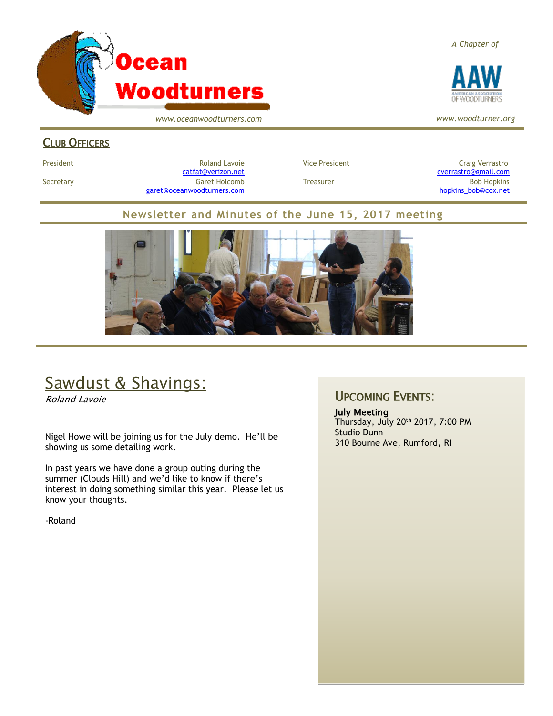

*www.oceanwoodturners.com*

#### *A Chapter of*



*www.woodturner.org*

#### CLUB OFFICERS

President **Roland Lavoie Roland Lavoie** Vice President **Craig Verrastro** Craig Verrastro Secretary Garet Holcomb Treasurer Bob Hopkins Bob Hopkins (Bob Hopkins Garet Holcomb [garet@oceanwoodturners.com](mailto:garet@oceanwoodturners.com) and the state of the state of the state of the state of the state of the state of the state of the state of the state of the state of the state of the state of the state of the state of the state

[catfat@verizon.net](file:///C:/Users/OTEC/Desktop/OW/catfat@verizon.net) [cverrastro@gmail.com](mailto:cverrastro@gmail.com)

#### **Newsletter and Minutes of the June 15, 2017 meeting**



# Sawdust & Shavings:

Roland Lavoie

Nigel Howe will be joining us for the July demo. He'll be showing us some detailing work.

In past years we have done a group outing during the summer (Clouds Hill) and we'd like to know if there's interest in doing something similar this year. Please let us know your thoughts.

-Roland

#### UPCOMING EVENTS:

July Meeting Thursday, July 20th 2017, 7:00 PM Studio Dunn 310 Bourne Ave, Rumford, RI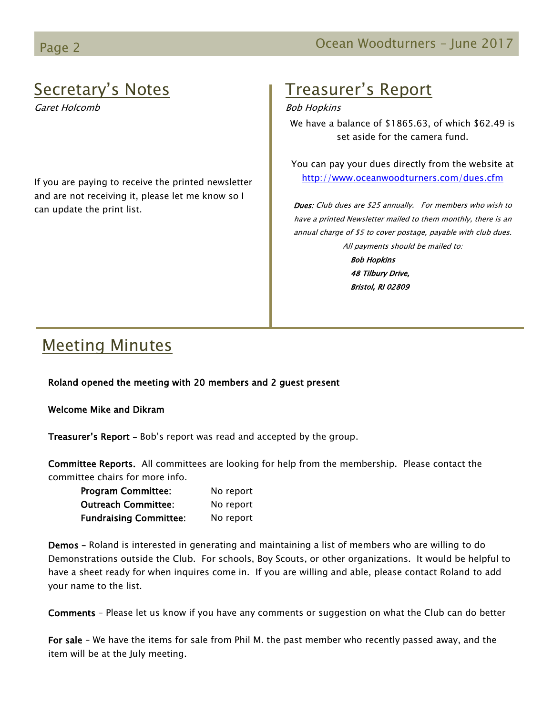# Secretary's Notes

Garet Holcomb

If you are paying to receive the printed newsletter and are not receiving it, please let me know so I can update the print list.

# Treasurer's Report

Bob Hopkins

We have a balance of \$1865.63, of which \$62.49 is set aside for the camera fund.

You can pay your dues directly from the website at <http://www.oceanwoodturners.com/dues.cfm>

Dues: Club dues are \$25 annually. For members who wish to have a printed Newsletter mailed to them monthly, there is an annual charge of \$5 to cover postage, payable with club dues. All payments should be mailed to:

> Bob Hopkins 48 Tilbury Drive, Bristol, RI 02809

# Meeting Minutes

Roland opened the meeting with 20 members and 2 guest present

Welcome Mike and Dikram

Treasurer's Report - Bob's report was read and accepted by the group.

Committee Reports. All committees are looking for help from the membership. Please contact the committee chairs for more info.

| <b>Program Committee:</b>     | No report |
|-------------------------------|-----------|
| <b>Outreach Committee:</b>    | No report |
| <b>Fundraising Committee:</b> | No report |

Demos – Roland is interested in generating and maintaining a list of members who are willing to do Demonstrations outside the Club. For schools, Boy Scouts, or other organizations. It would be helpful to have a sheet ready for when inquires come in. If you are willing and able, please contact Roland to add your name to the list.

Comments – Please let us know if you have any comments or suggestion on what the Club can do better

For sale – We have the items for sale from Phil M. the past member who recently passed away, and the item will be at the July meeting.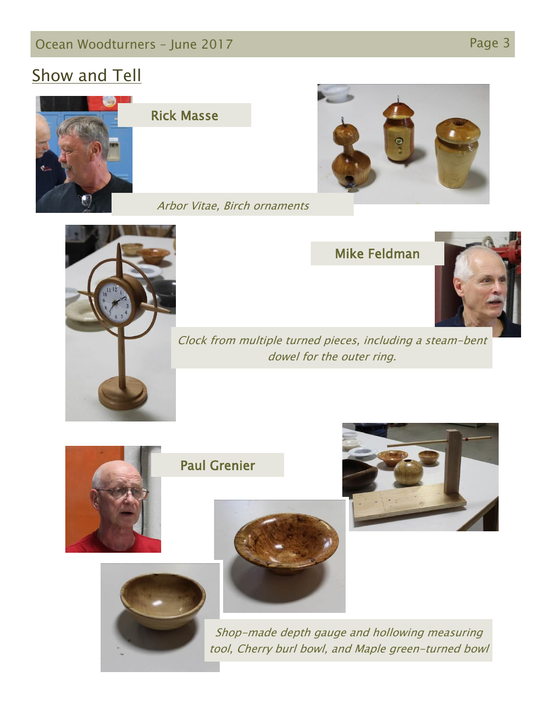## Ocean Woodturners – June 2017 Page 3

## Show and Tell



#### Rick Masse









Clock from multiple turned pieces, including a steam-bent dowel for the outer ring.

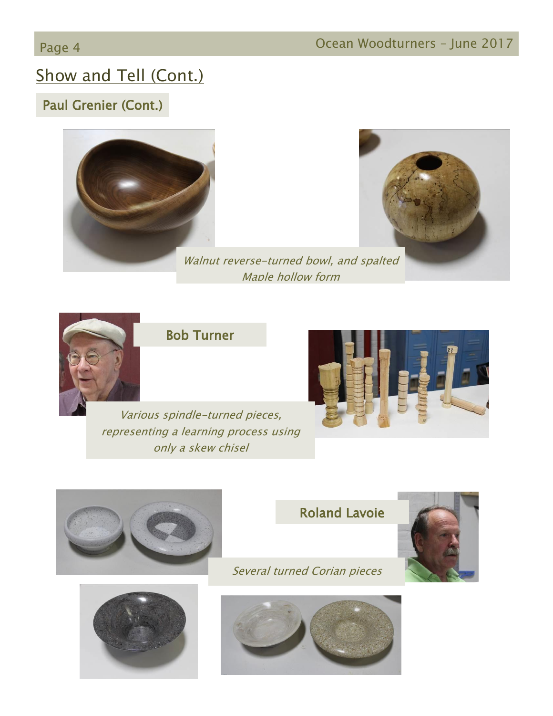# Show and Tell (Cont.)

## Paul Grenier (Cont.)





Walnut reverse-turned bowl, and spalted Maple hollow form



#### Bob Turner

Various spindle-turned pieces, representing a learning process using only a skew chisel









Several turned Corian pieces



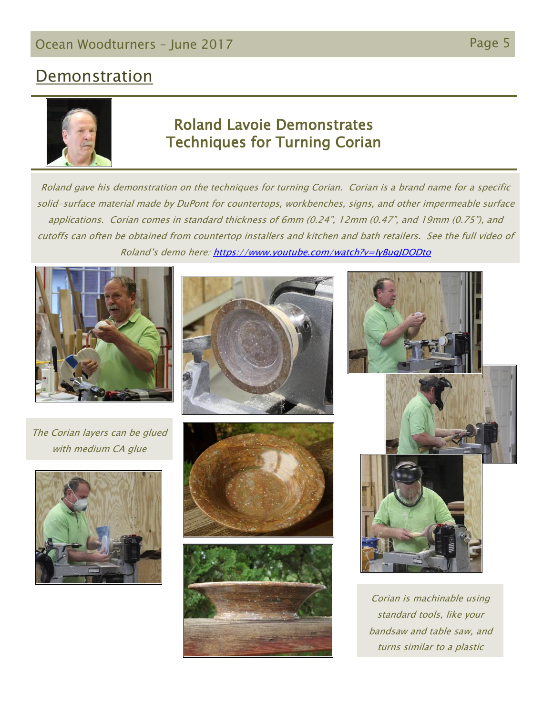## **Demonstration**



#### Roland Lavoie Demonstrates Techniques for Turning Corian

Roland gave his demonstration on the techniques for turning Corian. Corian is a brand name for a specific solid-surface material made by DuPont for countertops, workbenches, signs, and other impermeable surface applications. Corian comes in standard thickness of 6mm (0.24", 12mm (0.47", and 19mm (0.75"), and cutoffs can often be obtained from countertop installers and kitchen and bath retailers. See the full video of Roland's demo here:<https://www.youtube.com/watch?v=IyBugJDODto>









![](_page_4_Picture_10.jpeg)

![](_page_4_Picture_11.jpeg)

![](_page_4_Picture_12.jpeg)

Corian is machinable using standard tools, like your bandsaw and table saw, and turns similar to a plastic